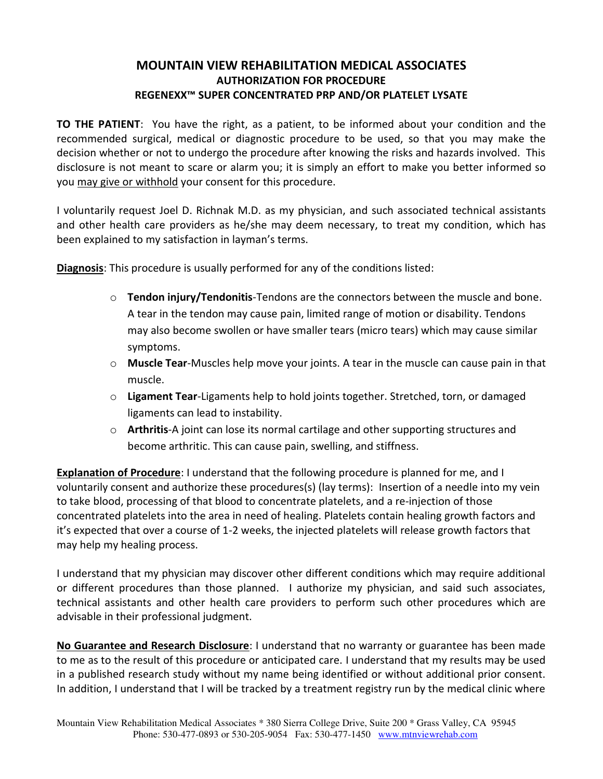## **MOUNTAIN VIEW REHABILITATION MEDICAL ASSOCIATES AUTHORIZATION FOR PROCEDURE REGENEXX™ SUPER CONCENTRATED PRP AND/OR PLATELET LYSATE**

**TO THE PATIENT**: You have the right, as a patient, to be informed about your condition and the recommended surgical, medical or diagnostic procedure to be used, so that you may make the decision whether or not to undergo the procedure after knowing the risks and hazards involved. This disclosure is not meant to scare or alarm you; it is simply an effort to make you better informed so you may give or withhold your consent for this procedure.

I voluntarily request Joel D. Richnak M.D. as my physician, and such associated technical assistants and other health care providers as he/she may deem necessary, to treat my condition, which has been explained to my satisfaction in layman's terms.

**Diagnosis**: This procedure is usually performed for any of the conditions listed:

- o **Tendon injury/Tendonitis**-Tendons are the connectors between the muscle and bone. A tear in the tendon may cause pain, limited range of motion or disability. Tendons may also become swollen or have smaller tears (micro tears) which may cause similar symptoms.
- o **Muscle Tear**-Muscles help move your joints. A tear in the muscle can cause pain in that muscle.
- o **Ligament Tear**-Ligaments help to hold joints together. Stretched, torn, or damaged ligaments can lead to instability.
- o **Arthritis**-A joint can lose its normal cartilage and other supporting structures and become arthritic. This can cause pain, swelling, and stiffness.

**Explanation of Procedure**: I understand that the following procedure is planned for me, and I voluntarily consent and authorize these procedures(s) (lay terms): Insertion of a needle into my vein to take blood, processing of that blood to concentrate platelets, and a re-injection of those concentrated platelets into the area in need of healing. Platelets contain healing growth factors and it's expected that over a course of 1-2 weeks, the injected platelets will release growth factors that may help my healing process.

I understand that my physician may discover other different conditions which may require additional or different procedures than those planned. I authorize my physician, and said such associates, technical assistants and other health care providers to perform such other procedures which are advisable in their professional judgment.

**No Guarantee and Research Disclosure**: I understand that no warranty or guarantee has been made to me as to the result of this procedure or anticipated care. I understand that my results may be used in a published research study without my name being identified or without additional prior consent. In addition, I understand that I will be tracked by a treatment registry run by the medical clinic where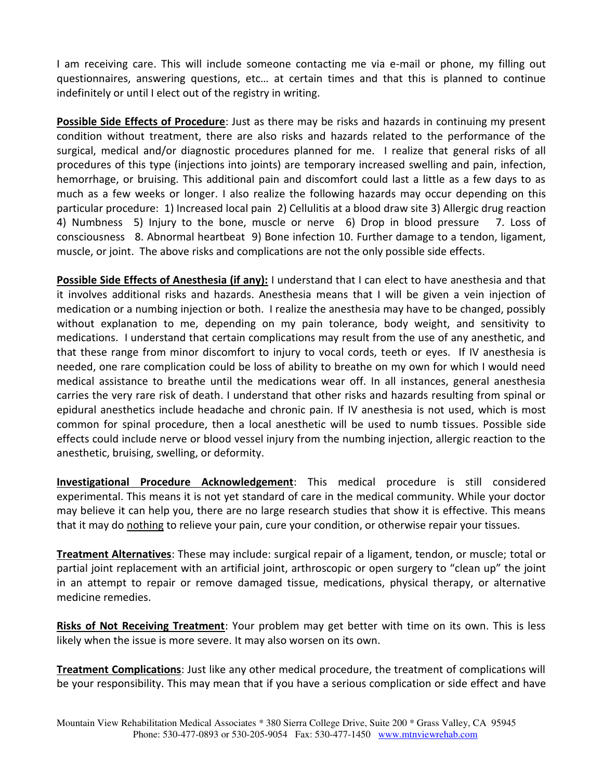I am receiving care. This will include someone contacting me via e-mail or phone, my filling out questionnaires, answering questions, etc… at certain times and that this is planned to continue indefinitely or until I elect out of the registry in writing.

**Possible Side Effects of Procedure**: Just as there may be risks and hazards in continuing my present condition without treatment, there are also risks and hazards related to the performance of the surgical, medical and/or diagnostic procedures planned for me. I realize that general risks of all procedures of this type (injections into joints) are temporary increased swelling and pain, infection, hemorrhage, or bruising. This additional pain and discomfort could last a little as a few days to as much as a few weeks or longer. I also realize the following hazards may occur depending on this particular procedure: 1) Increased local pain 2) Cellulitis at a blood draw site 3) Allergic drug reaction 4) Numbness 5) Injury to the bone, muscle or nerve 6) Drop in blood pressure 7. Loss of consciousness 8. Abnormal heartbeat 9) Bone infection 10. Further damage to a tendon, ligament, muscle, or joint. The above risks and complications are not the only possible side effects.

**Possible Side Effects of Anesthesia (if any):** I understand that I can elect to have anesthesia and that it involves additional risks and hazards. Anesthesia means that I will be given a vein injection of medication or a numbing injection or both. I realize the anesthesia may have to be changed, possibly without explanation to me, depending on my pain tolerance, body weight, and sensitivity to medications. I understand that certain complications may result from the use of any anesthetic, and that these range from minor discomfort to injury to vocal cords, teeth or eyes. If IV anesthesia is needed, one rare complication could be loss of ability to breathe on my own for which I would need medical assistance to breathe until the medications wear off. In all instances, general anesthesia carries the very rare risk of death. I understand that other risks and hazards resulting from spinal or epidural anesthetics include headache and chronic pain. If IV anesthesia is not used, which is most common for spinal procedure, then a local anesthetic will be used to numb tissues. Possible side effects could include nerve or blood vessel injury from the numbing injection, allergic reaction to the anesthetic, bruising, swelling, or deformity.

**Investigational Procedure Acknowledgement**: This medical procedure is still considered experimental. This means it is not yet standard of care in the medical community. While your doctor may believe it can help you, there are no large research studies that show it is effective. This means that it may do nothing to relieve your pain, cure your condition, or otherwise repair your tissues.

**Treatment Alternatives**: These may include: surgical repair of a ligament, tendon, or muscle; total or partial joint replacement with an artificial joint, arthroscopic or open surgery to "clean up" the joint in an attempt to repair or remove damaged tissue, medications, physical therapy, or alternative medicine remedies.

**Risks of Not Receiving Treatment**: Your problem may get better with time on its own. This is less likely when the issue is more severe. It may also worsen on its own.

**Treatment Complications**: Just like any other medical procedure, the treatment of complications will be your responsibility. This may mean that if you have a serious complication or side effect and have